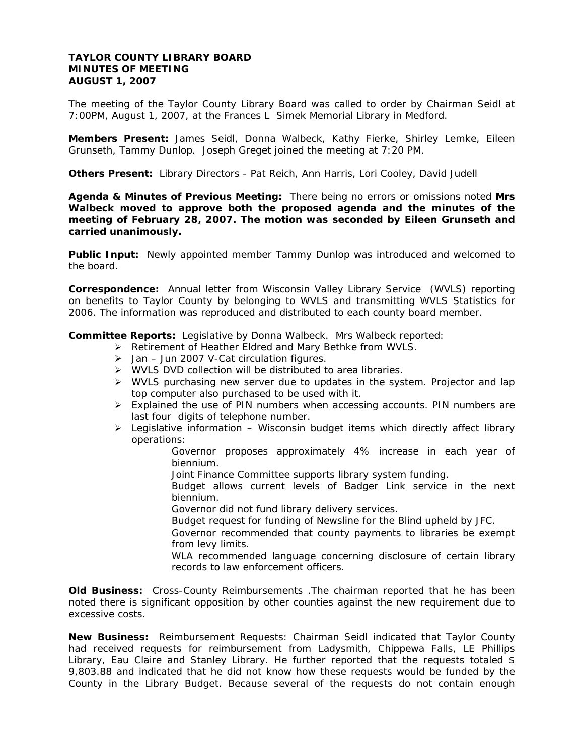## **TAYLOR COUNTY LIBRARY BOARD MINUTES OF MEETING AUGUST 1, 2007**

The meeting of the Taylor County Library Board was called to order by Chairman Seidl at 7:00PM, August 1, 2007, at the Frances L Simek Memorial Library in Medford.

**Members Present:** James Seidl, Donna Walbeck, Kathy Fierke, Shirley Lemke, Eileen Grunseth, Tammy Dunlop. Joseph Greget joined the meeting at 7:20 PM.

**Others Present:** Library Directors - Pat Reich, Ann Harris, Lori Cooley, David Judell

**Agenda & Minutes of Previous Meeting:** There being no errors or omissions noted **Mrs Walbeck moved to approve both the proposed agenda and the minutes of the meeting of February 28, 2007. The motion was seconded by Eileen Grunseth and carried unanimously.** 

**Public Input:** Newly appointed member Tammy Dunlop was introduced and welcomed to the board.

**Correspondence:** Annual letter from Wisconsin Valley Library Service (WVLS) reporting on benefits to Taylor County by belonging to WVLS and transmitting WVLS Statistics for 2006. The information was reproduced and distributed to each county board member.

**Committee Reports:** Legislative by Donna Walbeck. Mrs Walbeck reported:

- ¾ Retirement of Heather Eldred and Mary Bethke from WVLS.
	- $\triangleright$  Jan Jun 2007 V-Cat circulation figures.
	- ¾ WVLS DVD collection will be distributed to area libraries.
	- $\triangleright$  WVLS purchasing new server due to updates in the system. Projector and lap top computer also purchased to be used with it.
- $\triangleright$  Explained the use of PIN numbers when accessing accounts. PIN numbers are last four digits of telephone number.
- $\triangleright$  Legislative information Wisconsin budget items which directly affect library operations:
	- Governor proposes approximately 4% increase in each year of biennium.
	- Joint Finance Committee supports library system funding.
	- Budget allows current levels of Badger Link service in the next biennium.
	- Governor did not fund library delivery services.
	- Budget request for funding of Newsline for the Blind upheld by JFC.
	- Governor recommended that county payments to libraries be exempt from levy limits.
	- WLA recommended language concerning disclosure of certain library records to law enforcement officers.

**Old Business:** Cross-County Reimbursements .The chairman reported that he has been noted there is significant opposition by other counties against the new requirement due to excessive costs.

**New Business:** Reimbursement Requests: Chairman Seidl indicated that Taylor County had received requests for reimbursement from Ladysmith, Chippewa Falls, LE Phillips Library, Eau Claire and Stanley Library. He further reported that the requests totaled \$ 9,803.88 and indicated that he did not know how these requests would be funded by the County in the Library Budget. Because several of the requests do not contain enough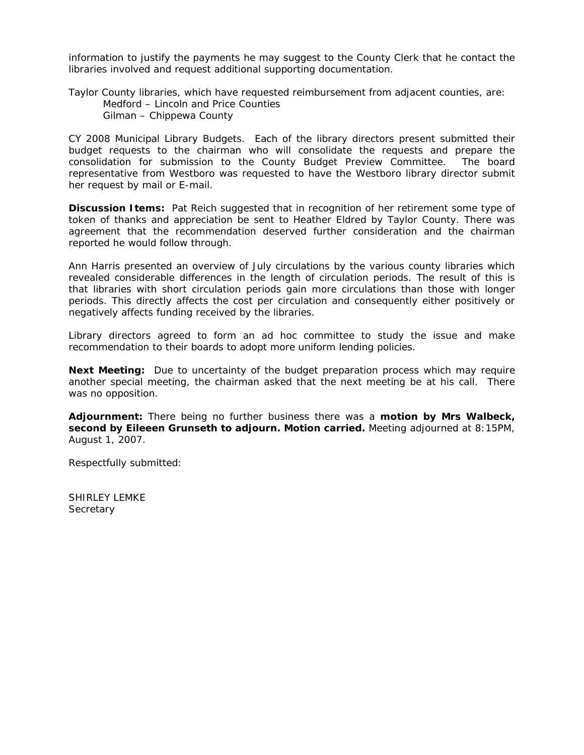information to justify the payments he may suggest to the County Clerk that he contact the libraries involved and request additional supporting documentation.

Taylor County libraries, which have requested reimbursement from adjacent counties, are: Medford – Lincoln and Price Counties Gilman – Chippewa County

CY 2008 Municipal Library Budgets. Each of the library directors present submitted their budget requests to the chairman who will consolidate the requests and prepare the consolidation for submission to the County Budget Preview Committee. The board representative from Westboro was requested to have the Westboro library director submit her request by mail or E-mail.

**Discussion Items:** Pat Reich suggested that in recognition of her retirement some type of token of thanks and appreciation be sent to Heather Eldred by Taylor County. There was agreement that the recommendation deserved further consideration and the chairman reported he would follow through.

Ann Harris presented an overview of July circulations by the various county libraries which revealed considerable differences in the length of circulation periods. The result of this is that libraries with short circulation periods gain more circulations than those with longer periods. This directly affects the cost per circulation and consequently either positively or negatively affects funding received by the libraries.

Library directors agreed to form an ad hoc committee to study the issue and make recommendation to their boards to adopt more uniform lending policies.

**Next Meeting:** Due to uncertainty of the budget preparation process which may require another special meeting, the chairman asked that the next meeting be at his call. There was no opposition.

**Adjournment:** There being no further business there was a **motion by Mrs Walbeck, second by Eileeen Grunseth to adjourn. Motion carried.** Meeting adjourned at 8:15PM, August 1, 2007.

Respectfully submitted:

SHIRLEY LEMKE **Secretary**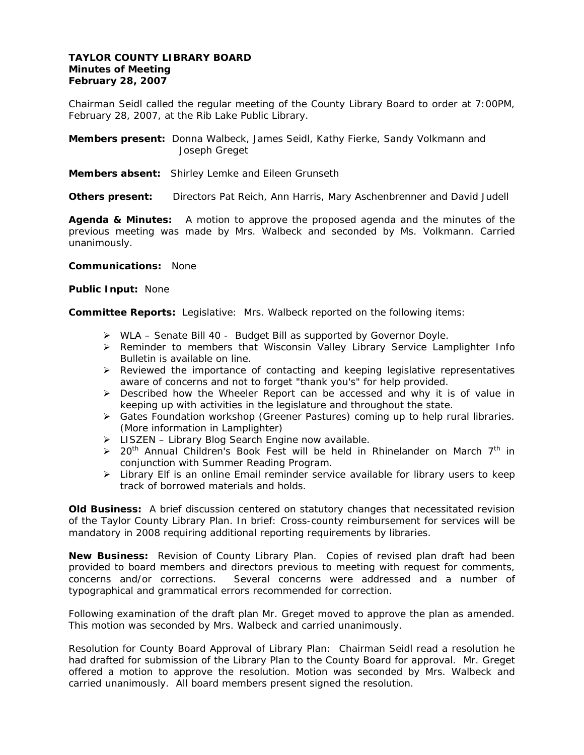## **TAYLOR COUNTY LIBRARY BOARD Minutes of Meeting February 28, 2007**

Chairman Seidl called the regular meeting of the County Library Board to order at 7:00PM, February 28, 2007, at the Rib Lake Public Library.

**Members present:** Donna Walbeck, James Seidl, Kathy Fierke, Sandy Volkmann and Joseph Greget

**Members absent:** Shirley Lemke and Eileen Grunseth

**Others present:** Directors Pat Reich, Ann Harris, Mary Aschenbrenner and David Judell

**Agenda & Minutes:** A motion to approve the proposed agenda and the minutes of the previous meeting was made by Mrs. Walbeck and seconded by Ms. Volkmann. Carried unanimously.

**Communications:** None

**Public Input:** None

**Committee Reports:** Legislative: Mrs. Walbeck reported on the following items:

- ¾ WLA Senate Bill 40 Budget Bill as supported by Governor Doyle.
- ¾ Reminder to members that Wisconsin Valley Library Service Lamplighter Info Bulletin is available on line.
- $\triangleright$  Reviewed the importance of contacting and keeping legislative representatives aware of concerns and not to forget "thank you's" for help provided.
- ¾ Described how the Wheeler Report can be accessed and why it is of value in keeping up with activities in the legislature and throughout the state.
- $\triangleright$  Gates Foundation workshop (Greener Pastures) coming up to help rural libraries. (More information in Lamplighter)
- ¾ LISZEN Library Blog Search Engine now available.
- $\geq 20$ <sup>th</sup> Annual Children's Book Fest will be held in Rhinelander on March 7<sup>th</sup> in conjunction with Summer Reading Program.
- $\triangleright$  Library Elf is an online Email reminder service available for library users to keep track of borrowed materials and holds.

**Old Business:** A brief discussion centered on statutory changes that necessitated revision of the Taylor County Library Plan. In brief: Cross-county reimbursement for services will be mandatory in 2008 requiring additional reporting requirements by libraries.

**New Business:** Revision of County Library Plan. Copies of revised plan draft had been provided to board members and directors previous to meeting with request for comments, concerns and/or corrections. Several concerns were addressed and a number of typographical and grammatical errors recommended for correction.

Following examination of the draft plan Mr. Greget moved to approve the plan as amended. This motion was seconded by Mrs. Walbeck and carried unanimously.

Resolution for County Board Approval of Library Plan: Chairman Seidl read a resolution he had drafted for submission of the Library Plan to the County Board for approval. Mr. Greget offered a motion to approve the resolution. Motion was seconded by Mrs. Walbeck and carried unanimously. All board members present signed the resolution.